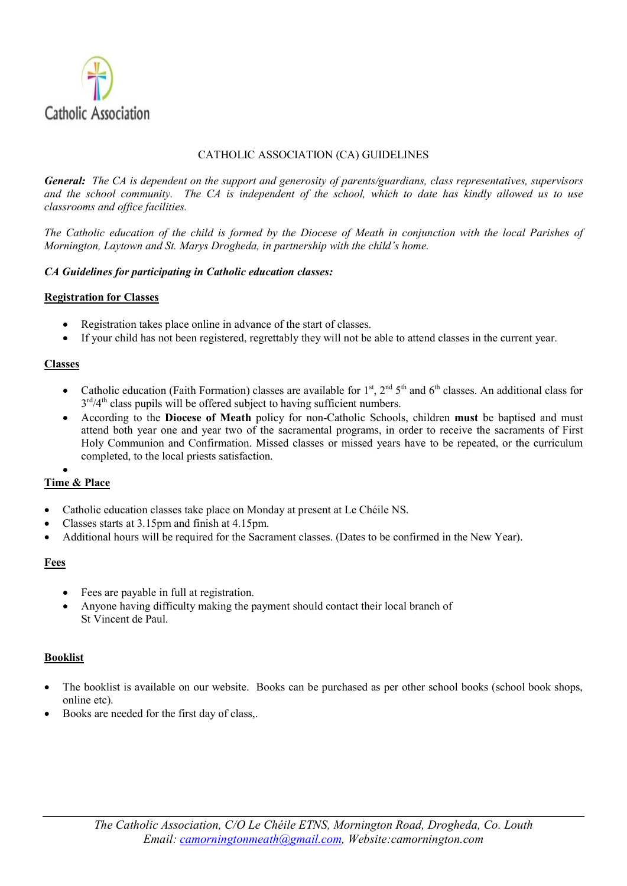

#### CATHOLIC ASSOCIATION (CA) GUIDELINES

General: The CA is dependent on the support and generosity of parents/guardians, class representatives, supervisors and the school community. The CA is independent of the school, which to date has kindly allowed us to use classrooms and office facilities.

The Catholic education of the child is formed by the Diocese of Meath in conjunction with the local Parishes of Mornington, Laytown and St. Marys Drogheda, in partnership with the child's home.

#### CA Guidelines for participating in Catholic education classes:

#### Registration for Classes

- Registration takes place online in advance of the start of classes.
- If your child has not been registered, regrettably they will not be able to attend classes in the current year.

#### Classes

- Catholic education (Faith Formation) classes are available for  $1<sup>st</sup>$ ,  $2<sup>nd</sup> 5<sup>th</sup>$  and  $6<sup>th</sup>$  classes. An additional class for 3<sup>rd</sup>/4<sup>th</sup> class pupils will be offered subject to having sufficient numbers.
- According to the Diocese of Meath policy for non-Catholic Schools, children must be baptised and must attend both year one and year two of the sacramental programs, in order to receive the sacraments of First Holy Communion and Confirmation. Missed classes or missed years have to be repeated, or the curriculum completed, to the local priests satisfaction.

### $\bullet$

# Time & Place

- Catholic education classes take place on Monday at present at Le Chéile NS.
- Classes starts at 3.15pm and finish at 4.15pm.
- Additional hours will be required for the Sacrament classes. (Dates to be confirmed in the New Year).

# Fees

- Fees are payable in full at registration.
- Anyone having difficulty making the payment should contact their local branch of St Vincent de Paul.

#### Booklist

- The booklist is available on our website. Books can be purchased as per other school books (school book shops, online etc).
- Books are needed for the first day of class,.